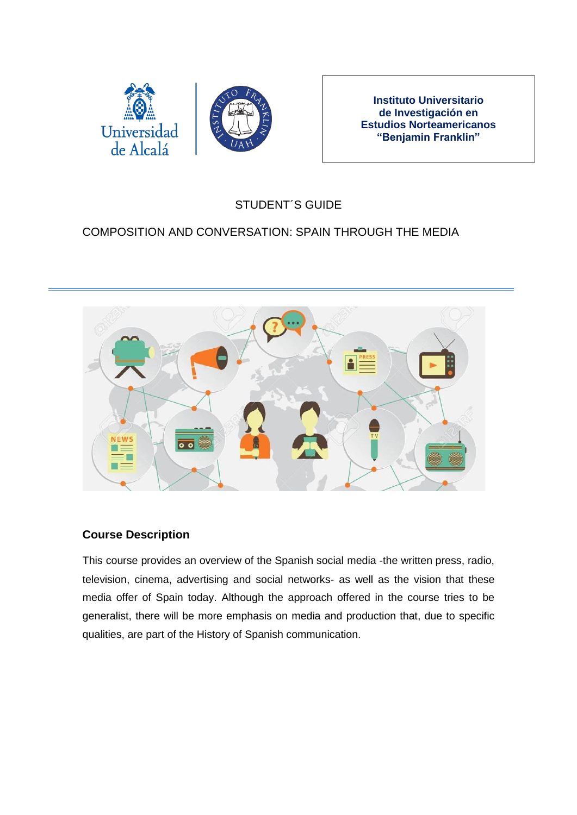

**Instituto Universitario de Investigación en Estudios Norteamericanos "Benjamin Franklin"**

# STUDENT´S GUIDE

## COMPOSITION AND CONVERSATION: SPAIN THROUGH THE MEDIA



#### **Course Description**

This course provides an overview of the Spanish social media -the written press, radio, television, cinema, advertising and social networks- as well as the vision that these media offer of Spain today. Although the approach offered in the course tries to be generalist, there will be more emphasis on media and production that, due to specific qualities, are part of the History of Spanish communication.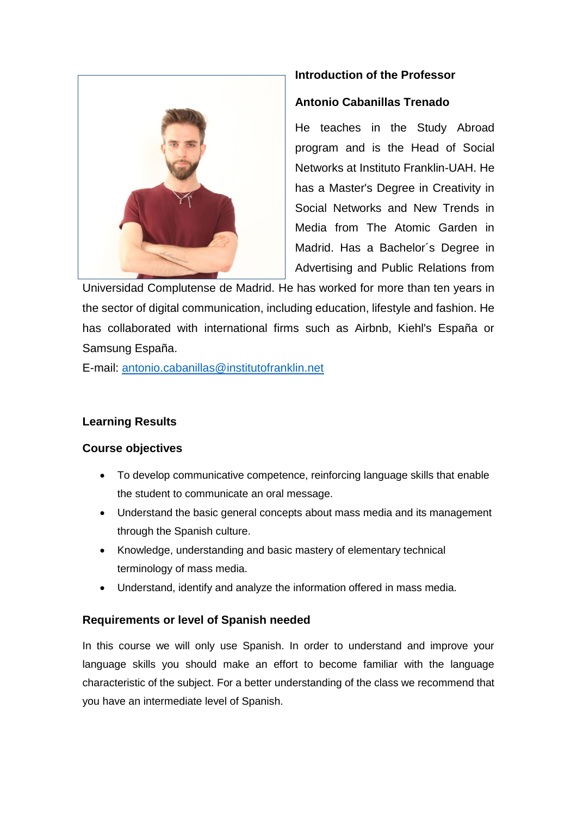

## **Introduction of the Professor**

#### **Antonio Cabanillas Trenado**

He teaches in the Study Abroad program and is the Head of Social Networks at Instituto Franklin-UAH. He has a Master's Degree in Creativity in Social Networks and New Trends in Media from The Atomic Garden in Madrid. Has a Bachelor´s Degree in Advertising and Public Relations from

Universidad Complutense de Madrid. He has worked for more than ten years in the sector of digital communication, including education, lifestyle and fashion. He has collaborated with international firms such as Airbnb, Kiehl's España or Samsung España.

E-mail: [antonio.cabanillas@institutofranklin.net](mailto:antonio.cabanillas@institutofranklin.net)

## **Learning Results**

#### **Course objectives**

- To develop communicative competence, reinforcing language skills that enable the student to communicate an oral message.
- Understand the basic general concepts about mass media and its management through the Spanish culture.
- Knowledge, understanding and basic mastery of elementary technical terminology of mass media.
- Understand, identify and analyze the information offered in mass media.

#### **Requirements or level of Spanish needed**

In this course we will only use Spanish. In order to understand and improve your language skills you should make an effort to become familiar with the language characteristic of the subject. For a better understanding of the class we recommend that you have an intermediate level of Spanish.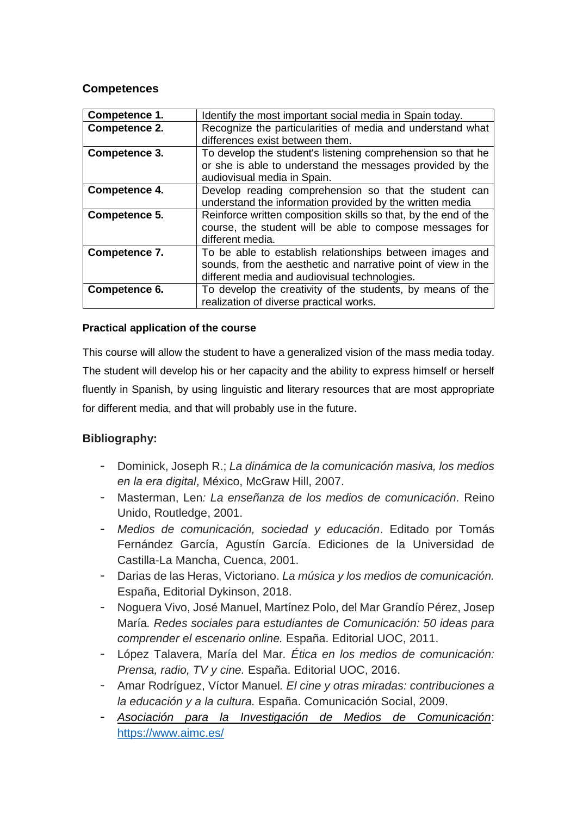#### **Competences**

| Competence 1. | Identify the most important social media in Spain today.        |
|---------------|-----------------------------------------------------------------|
| Competence 2. | Recognize the particularities of media and understand what      |
|               | differences exist between them.                                 |
| Competence 3. | To develop the student's listening comprehension so that he     |
|               | or she is able to understand the messages provided by the       |
|               | audiovisual media in Spain.                                     |
| Competence 4. | Develop reading comprehension so that the student can           |
|               | understand the information provided by the written media        |
| Competence 5. | Reinforce written composition skills so that, by the end of the |
|               | course, the student will be able to compose messages for        |
|               | different media.                                                |
| Competence 7. | To be able to establish relationships between images and        |
|               | sounds, from the aesthetic and narrative point of view in the   |
|               | different media and audiovisual technologies.                   |
| Competence 6. | To develop the creativity of the students, by means of the      |
|               | realization of diverse practical works.                         |

#### **Practical application of the course**

This course will allow the student to have a generalized vision of the mass media today. The student will develop his or her capacity and the ability to express himself or herself fluently in Spanish, by using linguistic and literary resources that are most appropriate for different media, and that will probably use in the future.

## **Bibliography:**

- Dominick, Joseph R.; *La dinámica de la comunicación masiva, los medios en la era digital*, México, McGraw Hill, 2007.
- Masterman, Len*: La enseñanza de los medios de comunicación.* Reino Unido, Routledge, 2001.
- *Medios de comunicación, sociedad y educación*. Editado por Tomás Fernández García, Agustín García. Ediciones de la Universidad de Castilla-La Mancha, Cuenca, 2001.
- Darias de las Heras, Victoriano. *La música y los medios de comunicación.* España, Editorial Dykinson, 2018.
- Noguera Vivo, José Manuel, Martínez Polo, del Mar Grandío Pérez, Josep María*. Redes sociales para estudiantes de Comunicación: 50 ideas para comprender el escenario online.* España. Editorial UOC, 2011.
- López Talavera, María del Mar*. Ética en los medios de comunicación: Prensa, radio, TV y cine.* España. Editorial UOC, 2016.
- Amar Rodríguez, Víctor Manuel*. El cine y otras miradas: contribuciones a la educación y a la cultura.* España. Comunicación Social, 2009.
- *[Asociación para la Investigación de Medios de Comunicación](https://www.aimc.es/)*: <https://www.aimc.es/>